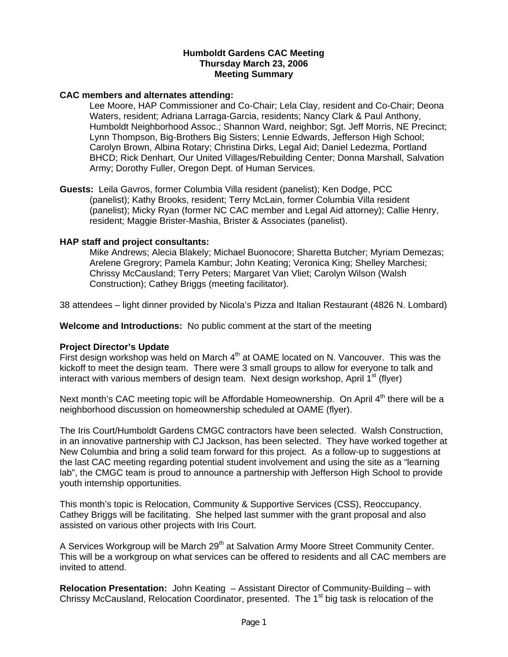### **Humboldt Gardens CAC Meeting Thursday March 23, 2006 Meeting Summary**

## **CAC members and alternates attending:**

Lee Moore, HAP Commissioner and Co-Chair; Lela Clay, resident and Co-Chair; Deona Waters, resident; Adriana Larraga-Garcia, residents; Nancy Clark & Paul Anthony, Humboldt Neighborhood Assoc.; Shannon Ward, neighbor; Sgt. Jeff Morris, NE Precinct; Lynn Thompson, Big-Brothers Big Sisters; Lennie Edwards, Jefferson High School; Carolyn Brown, Albina Rotary; Christina Dirks, Legal Aid; Daniel Ledezma, Portland BHCD; Rick Denhart, Our United Villages/Rebuilding Center; Donna Marshall, Salvation Army; Dorothy Fuller, Oregon Dept. of Human Services.

**Guests:** Leila Gavros, former Columbia Villa resident (panelist); Ken Dodge, PCC (panelist); Kathy Brooks, resident; Terry McLain, former Columbia Villa resident (panelist); Micky Ryan (former NC CAC member and Legal Aid attorney); Callie Henry, resident; Maggie Brister-Mashia, Brister & Associates (panelist).

## **HAP staff and project consultants:**

Mike Andrews; Alecia Blakely; Michael Buonocore; Sharetta Butcher; Myriam Demezas; Arelene Gregrory; Pamela Kambur; John Keating; Veronica King; Shelley Marchesi; Chrissy McCausland; Terry Peters; Margaret Van Vliet; Carolyn Wilson (Walsh Construction); Cathey Briggs (meeting facilitator).

38 attendees – light dinner provided by Nicola's Pizza and Italian Restaurant (4826 N. Lombard)

**Welcome and Introductions:** No public comment at the start of the meeting

# **Project Director's Update**

First design workshop was held on March  $4<sup>th</sup>$  at OAME located on N. Vancouver. This was the kickoff to meet the design team. There were 3 small groups to allow for everyone to talk and interact with various members of design team. Next design workshop, April  $1<sup>st</sup>$  (flyer)

Next month's CAC meeting topic will be Affordable Homeownership. On April 4<sup>th</sup> there will be a neighborhood discussion on homeownership scheduled at OAME (flyer).

The Iris Court/Humboldt Gardens CMGC contractors have been selected. Walsh Construction, in an innovative partnership with CJ Jackson, has been selected. They have worked together at New Columbia and bring a solid team forward for this project. As a follow-up to suggestions at the last CAC meeting regarding potential student involvement and using the site as a "learning lab", the CMGC team is proud to announce a partnership with Jefferson High School to provide youth internship opportunities.

This month's topic is Relocation, Community & Supportive Services (CSS), Reoccupancy. Cathey Briggs will be facilitating. She helped last summer with the grant proposal and also assisted on various other projects with Iris Court.

A Services Workgroup will be March 29<sup>th</sup> at Salvation Army Moore Street Community Center. This will be a workgroup on what services can be offered to residents and all CAC members are invited to attend.

**Relocation Presentation:** John Keating – Assistant Director of Community-Building – with Chrissy McCausland, Relocation Coordinator, presented. The 1<sup>st</sup> big task is relocation of the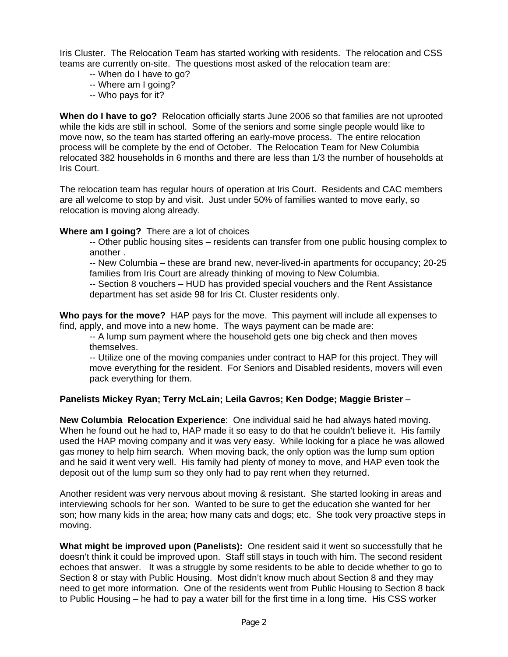Iris Cluster. The Relocation Team has started working with residents. The relocation and CSS teams are currently on-site. The questions most asked of the relocation team are:

- -- When do I have to go?
- -- Where am I going?
- -- Who pays for it?

**When do I have to go?** Relocation officially starts June 2006 so that families are not uprooted while the kids are still in school. Some of the seniors and some single people would like to move now, so the team has started offering an early-move process. The entire relocation process will be complete by the end of October. The Relocation Team for New Columbia relocated 382 households in 6 months and there are less than 1/3 the number of households at Iris Court.

The relocation team has regular hours of operation at Iris Court. Residents and CAC members are all welcome to stop by and visit. Just under 50% of families wanted to move early, so relocation is moving along already.

## **Where am I going?** There are a lot of choices

-- Other public housing sites – residents can transfer from one public housing complex to another .

-- New Columbia – these are brand new, never-lived-in apartments for occupancy; 20-25 families from Iris Court are already thinking of moving to New Columbia.

-- Section 8 vouchers – HUD has provided special vouchers and the Rent Assistance department has set aside 98 for Iris Ct. Cluster residents only.

**Who pays for the move?** HAP pays for the move. This payment will include all expenses to find, apply, and move into a new home. The ways payment can be made are:

-- A lump sum payment where the household gets one big check and then moves themselves.

-- Utilize one of the moving companies under contract to HAP for this project. They will move everything for the resident. For Seniors and Disabled residents, movers will even pack everything for them.

# **Panelists Mickey Ryan; Terry McLain; Leila Gavros; Ken Dodge; Maggie Brister** –

**New Columbia Relocation Experience**: One individual said he had always hated moving. When he found out he had to, HAP made it so easy to do that he couldn't believe it. His family used the HAP moving company and it was very easy. While looking for a place he was allowed gas money to help him search. When moving back, the only option was the lump sum option and he said it went very well. His family had plenty of money to move, and HAP even took the deposit out of the lump sum so they only had to pay rent when they returned.

Another resident was very nervous about moving & resistant. She started looking in areas and interviewing schools for her son. Wanted to be sure to get the education she wanted for her son; how many kids in the area; how many cats and dogs; etc. She took very proactive steps in moving.

**What might be improved upon (Panelists):** One resident said it went so successfully that he doesn't think it could be improved upon. Staff still stays in touch with him. The second resident echoes that answer. It was a struggle by some residents to be able to decide whether to go to Section 8 or stay with Public Housing. Most didn't know much about Section 8 and they may need to get more information. One of the residents went from Public Housing to Section 8 back to Public Housing – he had to pay a water bill for the first time in a long time. His CSS worker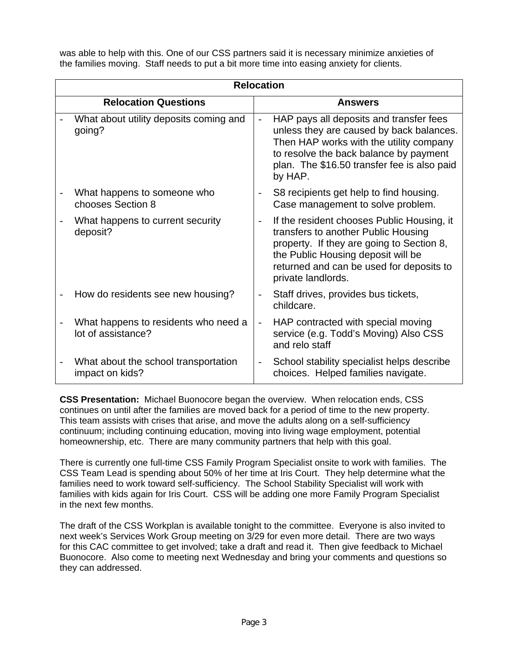was able to help with this. One of our CSS partners said it is necessary minimize anxieties of the families moving. Staff needs to put a bit more time into easing anxiety for clients.

| <b>Relocation</b> |                                                            |                          |                                                                                                                                                                                                                                        |  |  |
|-------------------|------------------------------------------------------------|--------------------------|----------------------------------------------------------------------------------------------------------------------------------------------------------------------------------------------------------------------------------------|--|--|
|                   | <b>Relocation Questions</b>                                |                          | <b>Answers</b>                                                                                                                                                                                                                         |  |  |
|                   | What about utility deposits coming and<br>going?           | $\overline{\phantom{a}}$ | HAP pays all deposits and transfer fees<br>unless they are caused by back balances.<br>Then HAP works with the utility company<br>to resolve the back balance by payment<br>plan. The \$16.50 transfer fee is also paid<br>by HAP.     |  |  |
|                   | What happens to someone who<br>chooses Section 8           | $\overline{\phantom{a}}$ | S8 recipients get help to find housing.<br>Case management to solve problem.                                                                                                                                                           |  |  |
|                   | What happens to current security<br>deposit?               | $\overline{\phantom{a}}$ | If the resident chooses Public Housing, it<br>transfers to another Public Housing<br>property. If they are going to Section 8,<br>the Public Housing deposit will be<br>returned and can be used for deposits to<br>private landlords. |  |  |
|                   | How do residents see new housing?                          | $\overline{\phantom{a}}$ | Staff drives, provides bus tickets,<br>childcare.                                                                                                                                                                                      |  |  |
|                   | What happens to residents who need a<br>lot of assistance? | $\frac{1}{2}$            | HAP contracted with special moving<br>service (e.g. Todd's Moving) Also CSS<br>and relo staff                                                                                                                                          |  |  |
|                   | What about the school transportation<br>impact on kids?    | $\overline{\phantom{a}}$ | School stability specialist helps describe<br>choices. Helped families navigate.                                                                                                                                                       |  |  |

**CSS Presentation:** Michael Buonocore began the overview. When relocation ends, CSS continues on until after the families are moved back for a period of time to the new property. This team assists with crises that arise, and move the adults along on a self-sufficiency continuum; including continuing education, moving into living wage employment, potential homeownership, etc. There are many community partners that help with this goal.

There is currently one full-time CSS Family Program Specialist onsite to work with families. The CSS Team Lead is spending about 50% of her time at Iris Court. They help determine what the families need to work toward self-sufficiency. The School Stability Specialist will work with families with kids again for Iris Court. CSS will be adding one more Family Program Specialist in the next few months.

The draft of the CSS Workplan is available tonight to the committee. Everyone is also invited to next week's Services Work Group meeting on 3/29 for even more detail. There are two ways for this CAC committee to get involved; take a draft and read it. Then give feedback to Michael Buonocore. Also come to meeting next Wednesday and bring your comments and questions so they can addressed.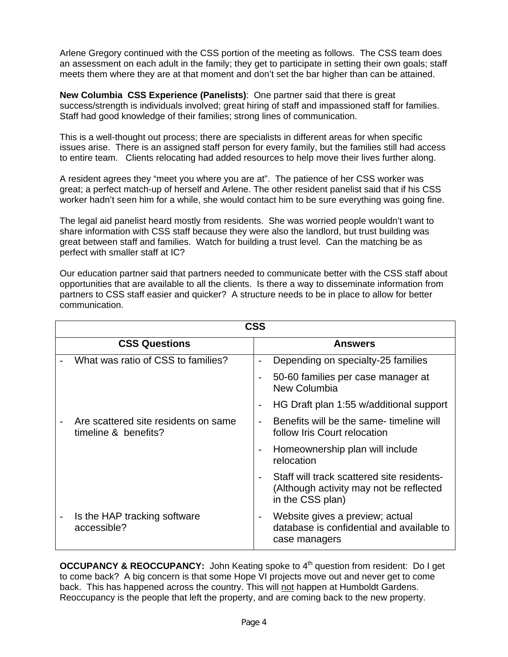Arlene Gregory continued with the CSS portion of the meeting as follows. The CSS team does an assessment on each adult in the family; they get to participate in setting their own goals; staff meets them where they are at that moment and don't set the bar higher than can be attained.

**New Columbia CSS Experience (Panelists)**: One partner said that there is great success/strength is individuals involved; great hiring of staff and impassioned staff for families. Staff had good knowledge of their families; strong lines of communication.

This is a well-thought out process; there are specialists in different areas for when specific issues arise. There is an assigned staff person for every family, but the families still had access to entire team. Clients relocating had added resources to help move their lives further along.

A resident agrees they "meet you where you are at". The patience of her CSS worker was great; a perfect match-up of herself and Arlene. The other resident panelist said that if his CSS worker hadn't seen him for a while, she would contact him to be sure everything was going fine.

The legal aid panelist heard mostly from residents. She was worried people wouldn't want to share information with CSS staff because they were also the landlord, but trust building was great between staff and families. Watch for building a trust level. Can the matching be as perfect with smaller staff at IC?

Our education partner said that partners needed to communicate better with the CSS staff about opportunities that are available to all the clients. Is there a way to disseminate information from partners to CSS staff easier and quicker? A structure needs to be in place to allow for better communication.

| <b>CSS</b> |                                                              |                          |                                                                                                           |  |  |  |
|------------|--------------------------------------------------------------|--------------------------|-----------------------------------------------------------------------------------------------------------|--|--|--|
|            | <b>CSS Questions</b>                                         |                          | <b>Answers</b>                                                                                            |  |  |  |
|            | What was ratio of CSS to families?                           | $\overline{\phantom{0}}$ | Depending on specialty-25 families                                                                        |  |  |  |
|            |                                                              |                          | 50-60 families per case manager at<br><b>New Columbia</b>                                                 |  |  |  |
|            |                                                              |                          | HG Draft plan 1:55 w/additional support                                                                   |  |  |  |
|            | Are scattered site residents on same<br>timeline & benefits? |                          | Benefits will be the same- timeline will<br>follow Iris Court relocation                                  |  |  |  |
|            |                                                              |                          | Homeownership plan will include<br>relocation                                                             |  |  |  |
|            |                                                              |                          | Staff will track scattered site residents-<br>(Although activity may not be reflected<br>in the CSS plan) |  |  |  |
|            | Is the HAP tracking software<br>accessible?                  |                          | Website gives a preview; actual<br>database is confidential and available to<br>case managers             |  |  |  |

**OCCUPANCY & REOCCUPANCY:** John Keating spoke to 4<sup>th</sup> question from resident: Do I get to come back? A big concern is that some Hope VI projects move out and never get to come back. This has happened across the country. This will not happen at Humboldt Gardens. Reoccupancy is the people that left the property, and are coming back to the new property.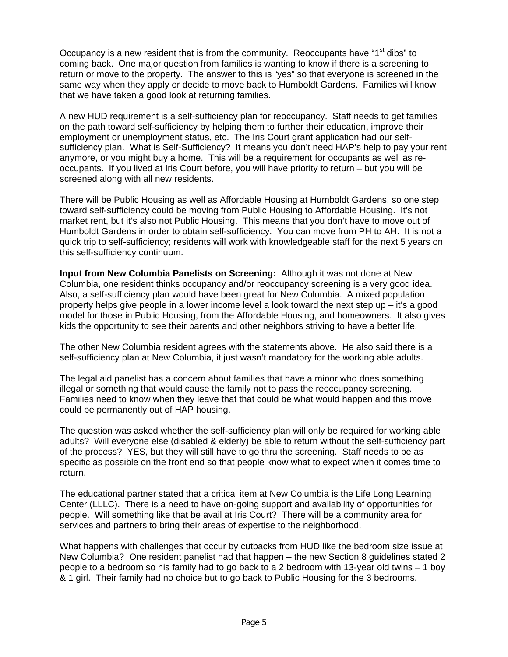Occupancy is a new resident that is from the community. Reoccupants have "1<sup>st</sup> dibs" to coming back. One major question from families is wanting to know if there is a screening to return or move to the property. The answer to this is "yes" so that everyone is screened in the same way when they apply or decide to move back to Humboldt Gardens. Families will know that we have taken a good look at returning families.

A new HUD requirement is a self-sufficiency plan for reoccupancy. Staff needs to get families on the path toward self-sufficiency by helping them to further their education, improve their employment or unemployment status, etc. The Iris Court grant application had our selfsufficiency plan. What is Self-Sufficiency? It means you don't need HAP's help to pay your rent anymore, or you might buy a home. This will be a requirement for occupants as well as reoccupants. If you lived at Iris Court before, you will have priority to return – but you will be screened along with all new residents.

There will be Public Housing as well as Affordable Housing at Humboldt Gardens, so one step toward self-sufficiency could be moving from Public Housing to Affordable Housing. It's not market rent, but it's also not Public Housing. This means that you don't have to move out of Humboldt Gardens in order to obtain self-sufficiency. You can move from PH to AH. It is not a quick trip to self-sufficiency; residents will work with knowledgeable staff for the next 5 years on this self-sufficiency continuum.

**Input from New Columbia Panelists on Screening:** Although it was not done at New Columbia, one resident thinks occupancy and/or reoccupancy screening is a very good idea. Also, a self-sufficiency plan would have been great for New Columbia. A mixed population property helps give people in a lower income level a look toward the next step up – it's a good model for those in Public Housing, from the Affordable Housing, and homeowners. It also gives kids the opportunity to see their parents and other neighbors striving to have a better life.

The other New Columbia resident agrees with the statements above. He also said there is a self-sufficiency plan at New Columbia, it just wasn't mandatory for the working able adults.

The legal aid panelist has a concern about families that have a minor who does something illegal or something that would cause the family not to pass the reoccupancy screening. Families need to know when they leave that that could be what would happen and this move could be permanently out of HAP housing.

The question was asked whether the self-sufficiency plan will only be required for working able adults? Will everyone else (disabled & elderly) be able to return without the self-sufficiency part of the process? YES, but they will still have to go thru the screening. Staff needs to be as specific as possible on the front end so that people know what to expect when it comes time to return.

The educational partner stated that a critical item at New Columbia is the Life Long Learning Center (LLLC). There is a need to have on-going support and availability of opportunities for people. Will something like that be avail at Iris Court? There will be a community area for services and partners to bring their areas of expertise to the neighborhood.

What happens with challenges that occur by cutbacks from HUD like the bedroom size issue at New Columbia? One resident panelist had that happen – the new Section 8 guidelines stated 2 people to a bedroom so his family had to go back to a 2 bedroom with 13-year old twins – 1 boy & 1 girl. Their family had no choice but to go back to Public Housing for the 3 bedrooms.